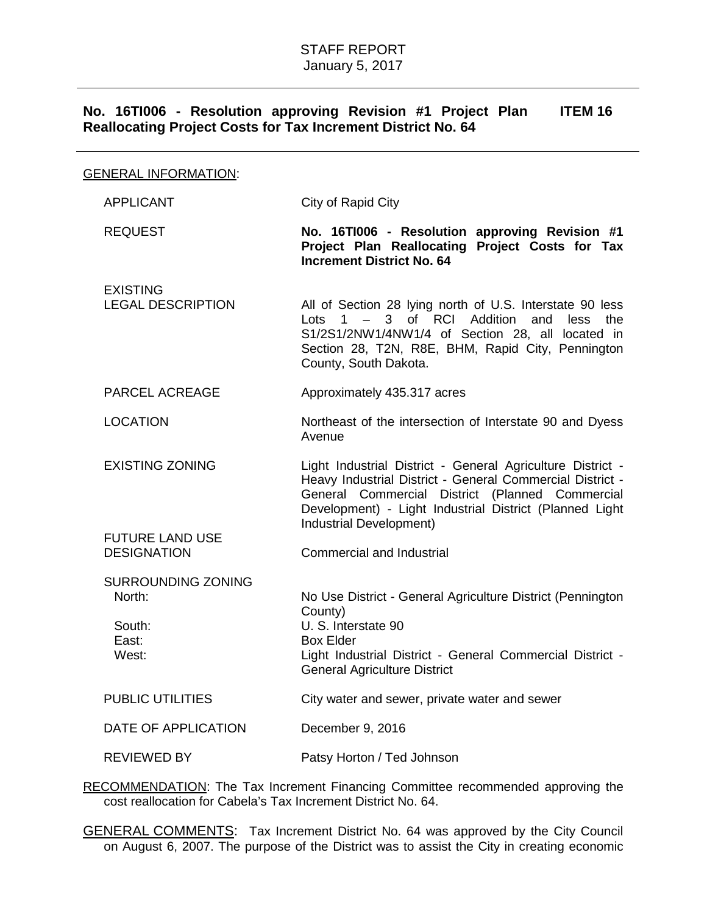## **No. 16TI006 - Resolution approving Revision #1 Project Plan Reallocating Project Costs for Tax Increment District No. 64 ITEM 16**

| <b>GENERAL INFORMATION:</b>                                                     |                                                                                                                                                                                                                                                                  |  |  |
|---------------------------------------------------------------------------------|------------------------------------------------------------------------------------------------------------------------------------------------------------------------------------------------------------------------------------------------------------------|--|--|
| <b>APPLICANT</b>                                                                | City of Rapid City                                                                                                                                                                                                                                               |  |  |
| <b>REQUEST</b>                                                                  | No. 16TI006 - Resolution approving Revision #1<br>Project Plan Reallocating Project Costs for Tax<br><b>Increment District No. 64</b>                                                                                                                            |  |  |
| <b>EXISTING</b><br><b>LEGAL DESCRIPTION</b>                                     | All of Section 28 lying north of U.S. Interstate 90 less<br>Lots $1 - 3$ of RCI Addition and<br>less<br>the<br>S1/2S1/2NW1/4NW1/4 of Section 28, all located in<br>Section 28, T2N, R8E, BHM, Rapid City, Pennington<br>County, South Dakota.                    |  |  |
| PARCEL ACREAGE                                                                  | Approximately 435.317 acres                                                                                                                                                                                                                                      |  |  |
| <b>LOCATION</b>                                                                 | Northeast of the intersection of Interstate 90 and Dyess<br>Avenue                                                                                                                                                                                               |  |  |
| <b>EXISTING ZONING</b>                                                          | Light Industrial District - General Agriculture District -<br>Heavy Industrial District - General Commercial District -<br>General Commercial District (Planned Commercial<br>Development) - Light Industrial District (Planned Light<br>Industrial Development) |  |  |
| <b>FUTURE LAND USE</b><br><b>DESIGNATION</b>                                    | <b>Commercial and Industrial</b>                                                                                                                                                                                                                                 |  |  |
| <b>SURROUNDING ZONING</b><br>North:<br>South:<br>East:<br>West:                 | No Use District - General Agriculture District (Pennington<br>County)<br>U. S. Interstate 90<br><b>Box Elder</b><br>Light Industrial District - General Commercial District -<br><b>General Agriculture District</b>                                             |  |  |
| <b>PUBLIC UTILITIES</b>                                                         | City water and sewer, private water and sewer                                                                                                                                                                                                                    |  |  |
| DATE OF APPLICATION                                                             | December 9, 2016                                                                                                                                                                                                                                                 |  |  |
| <b>REVIEWED BY</b>                                                              | Patsy Horton / Ted Johnson                                                                                                                                                                                                                                       |  |  |
| DECOMMENDATION: The Tay Increment Financing Committee recommended approving the |                                                                                                                                                                                                                                                                  |  |  |

RECOMMENDATION: The Tax Increment Financing Committee recommended approving the cost reallocation for Cabela's Tax Increment District No. 64.

GENERAL COMMENTS: Tax Increment District No. 64 was approved by the City Council on August 6, 2007. The purpose of the District was to assist the City in creating economic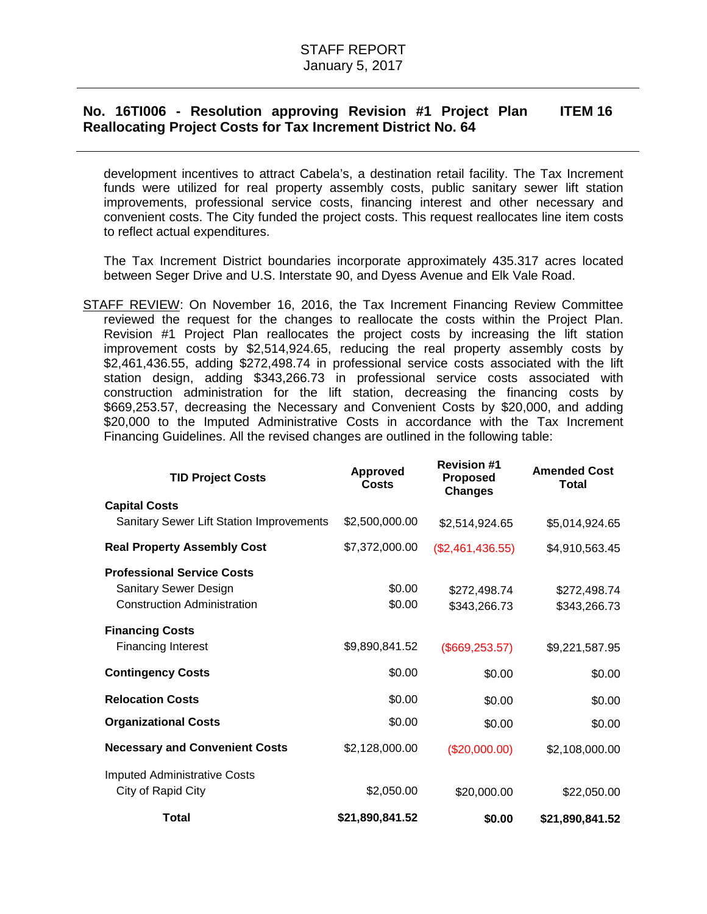## **No. 16TI006 - Resolution approving Revision #1 Project Plan Reallocating Project Costs for Tax Increment District No. 64 ITEM 16**

development incentives to attract Cabela's, a destination retail facility. The Tax Increment funds were utilized for real property assembly costs, public sanitary sewer lift station improvements, professional service costs, financing interest and other necessary and convenient costs. The City funded the project costs. This request reallocates line item costs to reflect actual expenditures.

The Tax Increment District boundaries incorporate approximately 435.317 acres located between Seger Drive and U.S. Interstate 90, and Dyess Avenue and Elk Vale Road.

STAFF REVIEW: On November 16, 2016, the Tax Increment Financing Review Committee reviewed the request for the changes to reallocate the costs within the Project Plan. Revision #1 Project Plan reallocates the project costs by increasing the lift station improvement costs by \$2,514,924.65, reducing the real property assembly costs by \$2,461,436.55, adding \$272,498.74 in professional service costs associated with the lift station design, adding \$343,266.73 in professional service costs associated with construction administration for the lift station, decreasing the financing costs by \$669,253.57, decreasing the Necessary and Convenient Costs by \$20,000, and adding \$20,000 to the Imputed Administrative Costs in accordance with the Tax Increment Financing Guidelines. All the revised changes are outlined in the following table:

| <b>TID Project Costs</b>                        | <b>Approved</b><br>Costs | <b>Revision #1</b><br><b>Proposed</b><br><b>Changes</b> | <b>Amended Cost</b><br><b>Total</b> |
|-------------------------------------------------|--------------------------|---------------------------------------------------------|-------------------------------------|
| <b>Capital Costs</b>                            |                          |                                                         |                                     |
| <b>Sanitary Sewer Lift Station Improvements</b> | \$2,500,000.00           | \$2,514,924.65                                          | \$5,014,924.65                      |
| <b>Real Property Assembly Cost</b>              | \$7,372,000.00           | (\$2,461,436.55)                                        | \$4,910,563.45                      |
| <b>Professional Service Costs</b>               |                          |                                                         |                                     |
| Sanitary Sewer Design                           | \$0.00                   | \$272,498.74                                            | \$272,498.74                        |
| <b>Construction Administration</b>              | \$0.00                   | \$343,266.73                                            | \$343,266.73                        |
| <b>Financing Costs</b>                          |                          |                                                         |                                     |
| <b>Financing Interest</b>                       | \$9,890,841.52           | (\$669, 253.57)                                         | \$9,221,587.95                      |
| <b>Contingency Costs</b>                        | \$0.00                   | \$0.00                                                  | \$0.00                              |
| <b>Relocation Costs</b>                         | \$0.00                   | \$0.00                                                  | \$0.00                              |
| <b>Organizational Costs</b>                     | \$0.00                   | \$0.00                                                  | \$0.00                              |
| <b>Necessary and Convenient Costs</b>           | \$2,128,000.00           | (\$20,000.00)                                           | \$2,108,000.00                      |
| <b>Imputed Administrative Costs</b>             |                          |                                                         |                                     |
| City of Rapid City                              | \$2,050.00               | \$20,000.00                                             | \$22,050.00                         |
| Total                                           | \$21,890,841.52          | \$0.00                                                  | \$21,890,841.52                     |